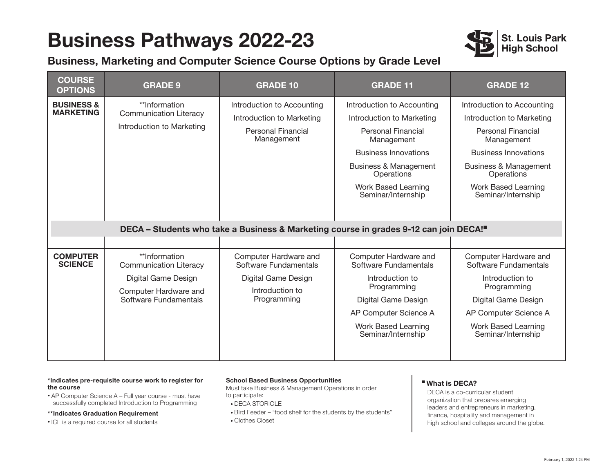## **Business Pathways 2022-23**



### **Business, Marketing and Computer Science Course Options by Grade Level**

| <b>COURSE</b><br><b>OPTIONS</b>                                                       | <b>GRADE 9</b>                                                                                                          | <b>GRADE 10</b>                                                                                         | <b>GRADE 11</b>                                                                                                                                                                                                                  | <b>GRADE 12</b>                                                                                                                                                                                                                         |
|---------------------------------------------------------------------------------------|-------------------------------------------------------------------------------------------------------------------------|---------------------------------------------------------------------------------------------------------|----------------------------------------------------------------------------------------------------------------------------------------------------------------------------------------------------------------------------------|-----------------------------------------------------------------------------------------------------------------------------------------------------------------------------------------------------------------------------------------|
| <b>BUSINESS &amp;</b><br><b>MARKETING</b>                                             | **Information<br><b>Communication Literacy</b><br>Introduction to Marketing                                             | Introduction to Accounting<br>Introduction to Marketing<br><b>Personal Financial</b><br>Management      | Introduction to Accounting<br>Introduction to Marketing<br><b>Personal Financial</b><br>Management<br><b>Business Innovations</b><br><b>Business &amp; Management</b><br>Operations<br>Work Based Learning<br>Seminar/Internship | Introduction to Accounting<br>Introduction to Marketing<br><b>Personal Financial</b><br>Management<br><b>Business Innovations</b><br><b>Business &amp; Management</b><br>Operations<br><b>Work Based Learning</b><br>Seminar/Internship |
| DECA - Students who take a Business & Marketing course in grades 9-12 can join DECA!" |                                                                                                                         |                                                                                                         |                                                                                                                                                                                                                                  |                                                                                                                                                                                                                                         |
|                                                                                       |                                                                                                                         |                                                                                                         |                                                                                                                                                                                                                                  |                                                                                                                                                                                                                                         |
| <b>COMPUTER</b><br><b>SCIENCE</b>                                                     | **Information<br><b>Communication Literacy</b><br>Digital Game Design<br>Computer Hardware and<br>Software Fundamentals | Computer Hardware and<br>Software Fundamentals<br>Digital Game Design<br>Introduction to<br>Programming | Computer Hardware and<br>Software Fundamentals<br>Introduction to<br>Programming<br>Digital Game Design<br>AP Computer Science A<br>Work Based Learning<br>Seminar/Internship                                                    | Computer Hardware and<br>Software Fundamentals<br>Introduction to<br>Programming<br>Digital Game Design<br>AP Computer Science A<br><b>Work Based Learning</b><br>Seminar/Internship                                                    |

#### **\*Indicates pre-requisite course work to register for the course**

• AP Computer Science A – Full year course - must have successfully completed Introduction to Programming

#### **\*\*Indicates Graduation Requirement**

• ICL is a required course for all students

#### **School Based Business Opportunities**

Must take Business & Management Operations in order to participate:

- DECA STORIOLE
- Bird Feeder "food shelf for the students by the students"
- Clothes Closet

#### n **What is DECA?**

DECA is a co-curricular student organization that prepares emerging leaders and entrepreneurs in marketing, finance, hospitality and management in high school and colleges around the globe.